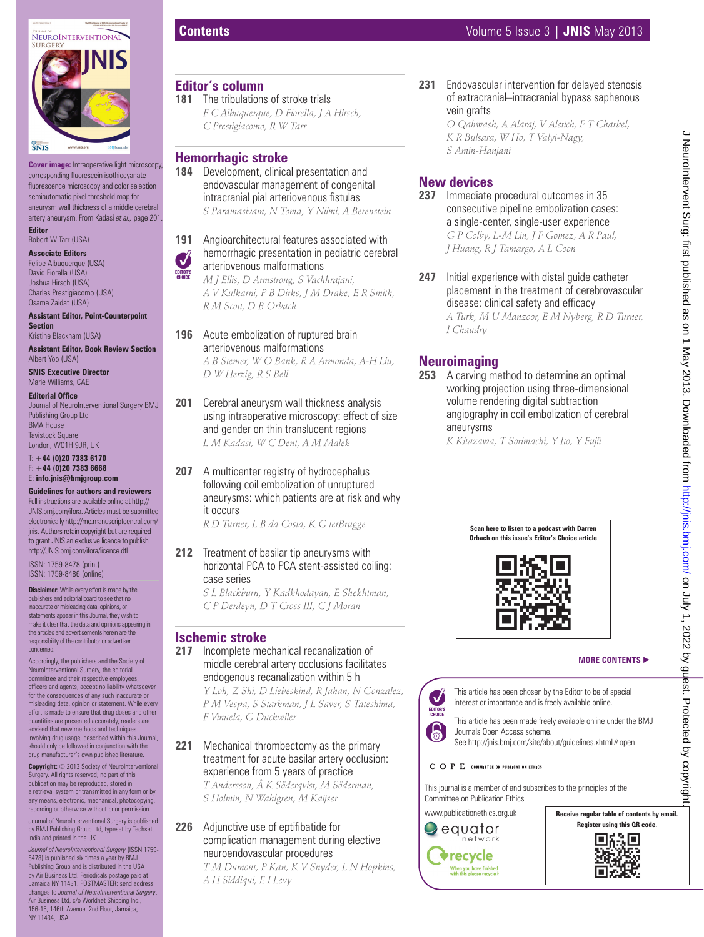

**Cover image:** Intraoperative light microscopy, corresponding fluorescein isothiocyanate fluorescence microscopy and color selection semiautomatic pixel threshold map for aneurysm wall thickness of a middle cerebral artery aneurysm. From Kadasi *et al.,* page 201. **Editor**

Robert W Tarr (USA)

**Associate Editors** Felipe Albuquerque (USA) David Fiorella (USA) Joshua Hirsch (USA) Charles Prestigiacomo (USA) Osama Zaidat (USA)

**Assistant Editor, Point-Counterpoint Section** Kristine Blackham (USA)

**Assistant Editor, Book Review Section** Albert Yoo (USA)

**SNIS Executive Director** Marie Williams, CAE

**Editorial Office** 

Journal of NeuroInterventional Surgery BMJ Publishing Group Ltd BMA House **Tavistock Square** London, WC1H 9JR, UK

T: **+44 (0)20 7383 6170** F: **+44 (0)20 7383 6668** E: **info.jnis@bmjgroup.com**

#### **Guidelines for authors and reviewers**

Full instructions are available online at http:// JNIS.bmj.com/ifora. Articles must be submitted electronically http://mc.manuscriptcentral.com/ jnis. Authors retain copyright but are required to grant JNIS an exclusive licence to publish http://JNIS.bmj.com/ifora/licence.dtl

ISSN: 1759-8478 (print) ISSN: 1759-8486 (online)

**Disclaimer:** While every effort is made by the publishers and editorial board to see that no inaccurate or misleading data, opinions, or statements appear in this Journal, they wish to make it clear that the data and opinions appearing in the articles and advertisements herein are the responsibility of the contributor or advertiser concerned.

Accordingly, the publishers and the Society of NeuroInterventional Surgery, the editorial committee and their respective employees, officers and agents, accept no liability whatsoever for the consequences of any such inaccurate or misleading data, opinion or statement. While every effort is made to ensure that drug doses and other quantities are presented accurately, readers are advised that new methods and techniques involving drug usage, described within this Journal, should only be followed in conjunction with the drug manufacturer's own published literature.

Copyright:  $\odot$  2013 Society of NeuroInterventional Surgery. All rights reserved; no part of this publication may be reproduced, stored in a retrieval system or transmitted in any form or by any means, electronic, mechanical, photocopying, recording or otherwise without prior permission.

al of NeuroInterventional Surgery is published by BMJ Publishing Group Ltd, typeset by Techset, India and printed in the UK.

*Journal of NeuroInterventional Surgery* (ISSN 1759- 8478) is published six times a year by BMJ Publishing Group and is distributed in the USA by Air Business Ltd. Periodicals postage paid at Jamaica NY 11431. POSTMASTER: send address changes to *Journal of NeuroInterventional Surgery*, Air Business Ltd, c/o Worldnet Shipping Inc. 156-15, 146th Avenue, 2nd Floor, Jamaica, NY 11434, USA.

## **Editor's column**

181 The tribulations of stroke trials *F C Albuquerque, D Fiorella, J A Hirsch, C Prestigiacomo, R W Tarr* 

## **Hemorrhagic stroke**

**184** Development, clinical presentation and endovascular management of congenital intracranial pial arteriovenous fistulas

*S Paramasivam, N Toma, Y Niimi, A Berenstein*

#### **191** Angioarchitectural features associated with hemorrhagic presentation in pediatric cerebral arteriovenous malformations

*M J Ellis, D Armstrong, S Vachhrajani, A V Kulkarni, P B Dirks, J M Drake, E R Smith, R M Scott, D B Orbach*

- **196** Acute embolization of ruptured brain arteriovenous malformations *A B Stemer, W O Bank, R A Armonda, A-H Liu, D W Herzig, R S Bell*
- **201** Cerebral aneurysm wall thickness analysis using intraoperative microscopy: effect of size and gender on thin translucent regions *L M Kadasi, W C Dent, A M Malek*
- **207** A multicenter registry of hydrocephalus following coil embolization of unruptured aneurysms: which patients are at risk and why it occurs

*R D Turner, L B da Costa, K G terBrugge*

**212** Treatment of basilar tip aneurysms with horizontal PCA to PCA stent-assisted coiling: case series

> *S L Blackburn, Y Kadkhodayan, E Shekhtman, C P Derdeyn, D T Cross III, C J Moran*

#### **Ischemic stroke**

**217** Incomplete mechanical recanalization of middle cerebral artery occlusions facilitates endogenous recanalization within 5 h

*Y Loh, Z Shi, D Liebeskind, R Jahan, N Gonzalez, P M Vespa, S Starkman, J L Saver, S Tateshima, F Vinuela, G Duckwiler*

#### **221** Mechanical thrombectomy as the primary treatment for acute basilar artery occlusion: experience from 5 years of practice

*T Andersson, Å K Söderqvist, M Söderman, S Holmin, N Wahlgren, M Kaijser*

#### **226** Adjunctive use of eptifibatide for complication management during elective neuroendovascular procedures

*T M Dumont, P Kan, K V Snyder, L N Hopkins, A H Siddiqui, E I Levy*

**231** Endovascular intervention for delayed stenosis of extracranial–intracranial bypass saphenous vein grafts

*O Qahwash, A Alaraj, V Aletich, F T Charbel, K R Bulsara, W Ho, T Valyi-Nagy, S Amin-Hanjani*

# **New devices**

**237** Immediate procedural outcomes in 35 consecutive pipeline embolization cases: a single-center, single-user experience *G P Colby, L-M Lin, J F Gomez, A R Paul, J Huang, R J Tamargo, A L Coon*

**247** Initial experience with distal guide catheter placement in the treatment of cerebrovascular disease: clinical safety and efficacy *A Turk, M U Manzoor, E M Nyberg, R D Turner, I Chaudry*

## **Neuroimaging**

**253** A carving method to determine an optimal working projection using three-dimensional volume rendering digital subtraction angiography in coil embolization of cerebral aneurysms

*K Kitazawa, T Sorimachi, Y Ito, Y Fujii*



#### **MORE CONTENTS** -





This journal is a member of and subscribes to the principles of the Committee on Publication Ethics

www.publicationethics.org.uk

## $\bigcirc$  equator network **Trecycle** When you have finished<br>with this please recycle i



J NeuroIntervent Surg: first published as on 1 May 2013. Downloaded from http://jnis.bmj.com/ on July 1, 2022 by guest. Protected by copyright J NeuroIntervent Surg: first published as on 1 May 2013. Downloaded from <http://jnis.bmj.com/> on July 1, 2022 by guest. Protected by copyright.